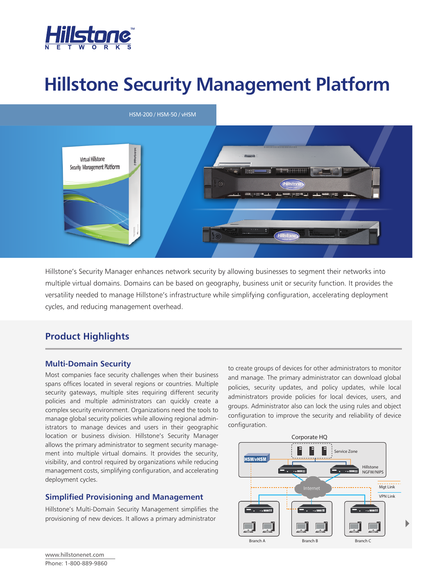

# **Hillstone Security Management Platform**



Hillstone's Security Manager enhances network security by allowing businesses to segment their networks into multiple virtual domains. Domains can be based on geography, business unit or security function. It provides the versatility needed to manage Hillstone's infrastructure while simplifying configuration, accelerating deployment cycles, and reducing management overhead.

# **Product Highlights**

## **Multi-Domain Security**

Most companies face security challenges when their business spans offices located in several regions or countries. Multiple security gateways, multiple sites requiring different security policies and multiple administrators can quickly create a complex security environment. Organizations need the tools to manage global security policies while allowing regional administrators to manage devices and users in their geographic location or business division. Hillstone's Security Manager allows the primary administrator to segment security management into multiple virtual domains. It provides the security, visibility, and control required by organizations while reducing management costs, simplifying configuration, and accelerating deployment cycles.

## **Simplified Provisioning and Management**

Hillstone's Multi-Domain Security Management simplifies the provisioning of new devices. It allows a primary administrator

to create groups of devices for other administrators to monitor and manage. The primary administrator can download global policies, security updates, and policy updates, while local administrators provide policies for local devices, users, and groups. Administrator also can lock the using rules and object configuration to improve the security and reliability of device configuration.